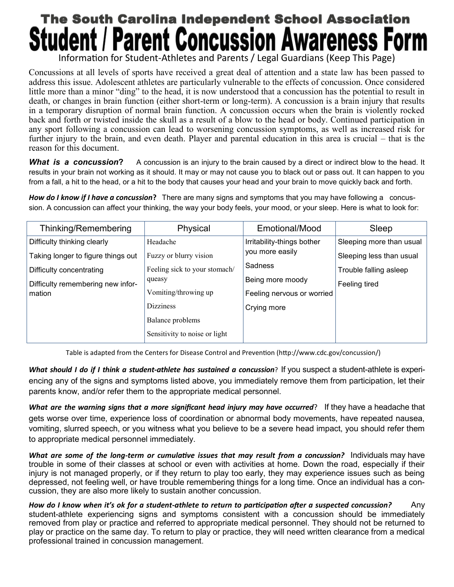## **The South Carolina Independent School Association Parent Concussion Av**

Information for Student-Athletes and Parents / Legal Guardians (Keep This Page)

Concussions at all levels of sports have received a great deal of attention and a state law has been passed to address this issue. Adolescent athletes are particularly vulnerable to the effects of concussion. Once considered little more than a minor "ding" to the head, it is now understood that a concussion has the potential to result in death, or changes in brain function (either short-term or long-term). A concussion is a brain injury that results in a temporary disruption of normal brain function. A concussion occurs when the brain is violently rocked back and forth or twisted inside the skull as a result of a blow to the head or body. Continued participation in any sport following a concussion can lead to worsening concussion symptoms, as well as increased risk for further injury to the brain, and even death. Player and parental education in this area is crucial – that is the reason for this document.

*What is a concussion***?** A concussion is an injury to the brain caused by a direct or indirect blow to the head. It results in your brain not working as it should. It may or may not cause you to black out or pass out. It can happen to you from a fall, a hit to the head, or a hit to the body that causes your head and your brain to move quickly back and forth.

*How do I know if I have a concussion***?** There are many signs and symptoms that you may have following a concussion. A concussion can affect your thinking, the way your body feels, your mood, or your sleep. Here is what to look for:

| Thinking/Remembering               | Physical                      | Emotional/Mood             | Sleep                    |
|------------------------------------|-------------------------------|----------------------------|--------------------------|
| Difficulty thinking clearly        | Headache                      | Irritability-things bother | Sleeping more than usual |
| Taking longer to figure things out | Fuzzy or blurry vision        | you more easily            | Sleeping less than usual |
| Difficulty concentrating           | Feeling sick to your stomach/ | <b>Sadness</b>             | Trouble falling asleep   |
| Difficulty remembering new infor-  | queasy                        | Being more moody           | Feeling tired            |
| mation                             | Vomiting/throwing up          | Feeling nervous or worried |                          |
|                                    | <b>Dizziness</b>              | Crying more                |                          |
|                                    | Balance problems              |                            |                          |
|                                    | Sensitivity to noise or light |                            |                          |

Table is adapted from the Centers for Disease Control and Prevention (http://www.cdc.gov/concussion/)

*What should I do if I think a student-athlete has sustained a concussion*? If you suspect a student-athlete is experiencing any of the signs and symptoms listed above, you immediately remove them from participation, let their parents know, and/or refer them to the appropriate medical personnel.

*What are the warning signs that a more significant head injury may have occurred*? If they have a headache that gets worse over time, experience loss of coordination or abnormal body movements, have repeated nausea, vomiting, slurred speech, or you witness what you believe to be a severe head impact, you should refer them to appropriate medical personnel immediately.

*What are some of the long-term or cumulative issues that may result from a concussion?* Individuals may have trouble in some of their classes at school or even with activities at home. Down the road, especially if their injury is not managed properly, or if they return to play too early, they may experience issues such as being depressed, not feeling well, or have trouble remembering things for a long time. Once an individual has a concussion, they are also more likely to sustain another concussion.

*How do I know when it's ok for a student-athlete to return to participation after a suspected concussion?* Any student-athlete experiencing signs and symptoms consistent with a concussion should be immediately removed from play or practice and referred to appropriate medical personnel. They should not be returned to play or practice on the same day. To return to play or practice, they will need written clearance from a medical professional trained in concussion management.